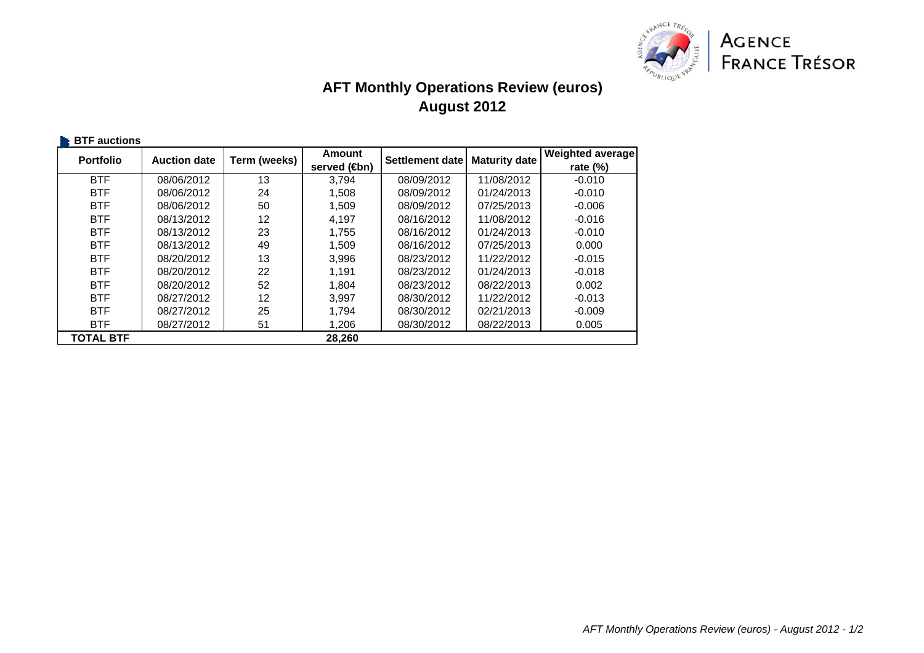

## **AFT Monthly Operations Review (euros) August 2012**

| <b>BTF</b> auctions |                     |              |                           |                 |                      |                         |
|---------------------|---------------------|--------------|---------------------------|-----------------|----------------------|-------------------------|
| <b>Portfolio</b>    | <b>Auction date</b> | Term (weeks) | Amount                    | Settlement date | <b>Maturity date</b> | <b>Weighted average</b> |
|                     |                     |              | served ( <del>t</del> on) |                 |                      | rate $(%)$              |
| <b>BTF</b>          | 08/06/2012          | 13           | 3.794                     | 08/09/2012      | 11/08/2012           | $-0.010$                |
| <b>BTF</b>          | 08/06/2012          | 24           | 1,508                     | 08/09/2012      | 01/24/2013           | $-0.010$                |
| <b>BTF</b>          | 08/06/2012          | 50           | 1,509                     | 08/09/2012      | 07/25/2013           | $-0.006$                |
| <b>BTF</b>          | 08/13/2012          | 12           | 4.197                     | 08/16/2012      | 11/08/2012           | $-0.016$                |
| <b>BTF</b>          | 08/13/2012          | 23           | 1,755                     | 08/16/2012      | 01/24/2013           | $-0.010$                |
| <b>BTF</b>          | 08/13/2012          | 49           | 1,509                     | 08/16/2012      | 07/25/2013           | 0.000                   |
| <b>BTF</b>          | 08/20/2012          | 13           | 3,996                     | 08/23/2012      | 11/22/2012           | $-0.015$                |
| <b>BTF</b>          | 08/20/2012          | 22           | 1.191                     | 08/23/2012      | 01/24/2013           | $-0.018$                |
| <b>BTF</b>          | 08/20/2012          | 52           | 1,804                     | 08/23/2012      | 08/22/2013           | 0.002                   |
| <b>BTF</b>          | 08/27/2012          | 12           | 3,997                     | 08/30/2012      | 11/22/2012           | $-0.013$                |
| <b>BTF</b>          | 08/27/2012          | 25           | 1,794                     | 08/30/2012      | 02/21/2013           | $-0.009$                |
| <b>BTF</b>          | 08/27/2012          | 51           | 1,206                     | 08/30/2012      | 08/22/2013           | 0.005                   |
| <b>TOTAL BTF</b>    |                     |              | 28.260                    |                 |                      |                         |